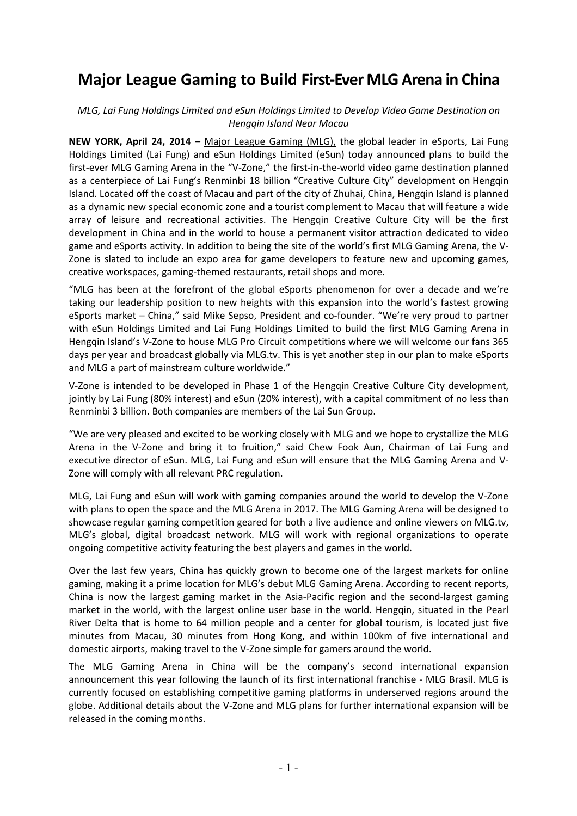# **Major League Gaming to Build First-Ever MLG Arena in China**

### *MLG, Lai Fung Holdings Limited and eSun Holdings Limited to Develop Video Game Destination on Hengqin Island Near Macau*

**NEW YORK, April 24, 2014** – Major League Gaming (MLG), the global leader in eSports, Lai Fung Holdings Limited (Lai Fung) and eSun Holdings Limited (eSun) today announced plans to build the first-ever MLG Gaming Arena in the "V-Zone," the first-in-the-world video game destination planned as a centerpiece of Lai Fung's Renminbi 18 billion "Creative Culture City" development on Hengqin Island. Located off the coast of Macau and part of the city of Zhuhai, China, Hengqin Island is planned as a dynamic new special economic zone and a tourist complement to Macau that will feature a wide array of leisure and recreational activities. The Hengqin Creative Culture City will be the first development in China and in the world to house a permanent visitor attraction dedicated to video game and eSports activity. In addition to being the site of the world's first MLG Gaming Arena, the V-Zone is slated to include an expo area for game developers to feature new and upcoming games, creative workspaces, gaming-themed restaurants, retail shops and more.

"MLG has been at the forefront of the global eSports phenomenon for over a decade and we're taking our leadership position to new heights with this expansion into the world's fastest growing eSports market – China," said Mike Sepso, President and co-founder. "We're very proud to partner with eSun Holdings Limited and Lai Fung Holdings Limited to build the first MLG Gaming Arena in Hengqin Island's V-Zone to house MLG Pro Circuit competitions where we will welcome our fans 365 days per year and broadcast globally via MLG.tv. This is yet another step in our plan to make eSports and MLG a part of mainstream culture worldwide."

V-Zone is intended to be developed in Phase 1 of the Hengqin Creative Culture City development, jointly by Lai Fung (80% interest) and eSun (20% interest), with a capital commitment of no less than Renminbi 3 billion. Both companies are members of the Lai Sun Group.

"We are very pleased and excited to be working closely with MLG and we hope to crystallize the MLG Arena in the V-Zone and bring it to fruition," said Chew Fook Aun, Chairman of Lai Fung and executive director of eSun. MLG, Lai Fung and eSun will ensure that the MLG Gaming Arena and V-Zone will comply with all relevant PRC regulation.

MLG, Lai Fung and eSun will work with gaming companies around the world to develop the V-Zone with plans to open the space and the MLG Arena in 2017. The MLG Gaming Arena will be designed to showcase regular gaming competition geared for both a live audience and online viewers on MLG.tv, MLG's global, digital broadcast network. MLG will work with regional organizations to operate ongoing competitive activity featuring the best players and games in the world.

Over the last few years, China has quickly grown to become one of the largest markets for online gaming, making it a prime location for MLG's debut MLG Gaming Arena. According to recent reports, China is now the largest gaming market in the Asia-Pacific region and the second-largest gaming market in the world, with the largest online user base in the world. Hengqin, situated in the Pearl River Delta that is home to 64 million people and a center for global tourism, is located just five minutes from Macau, 30 minutes from Hong Kong, and within 100km of five international and domestic airports, making travel to the V-Zone simple for gamers around the world.

The MLG Gaming Arena in China will be the company's second international expansion announcement this year following the launch of its first international franchise - MLG Brasil. MLG is currently focused on establishing competitive gaming platforms in underserved regions around the globe. Additional details about the V-Zone and MLG plans for further international expansion will be released in the coming months.